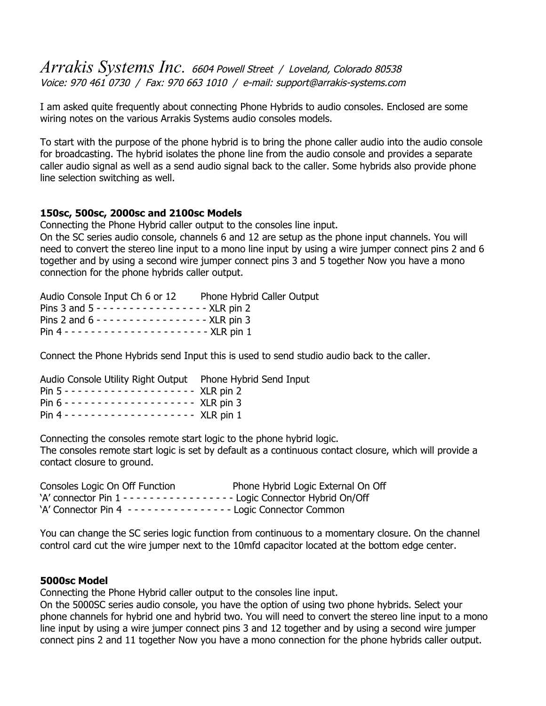# *Arrakis Systems Inc.* 6604 Powell Street / Loveland, Colorado 80538 Voice: 970 461 0730 / Fax: 970 663 1010 / e-mail: support@arrakis-systems.com

I am asked quite frequently about connecting Phone Hybrids to audio consoles. Enclosed are some wiring notes on the various Arrakis Systems audio consoles models.

To start with the purpose of the phone hybrid is to bring the phone caller audio into the audio console for broadcasting. The hybrid isolates the phone line from the audio console and provides a separate caller audio signal as well as a send audio signal back to the caller. Some hybrids also provide phone line selection switching as well.

## **150sc, 500sc, 2000sc and 2100sc Models**

Connecting the Phone Hybrid caller output to the consoles line input.

On the SC series audio console, channels 6 and 12 are setup as the phone input channels. You will need to convert the stereo line input to a mono line input by using a wire jumper connect pins 2 and 6 together and by using a second wire jumper connect pins 3 and 5 together Now you have a mono connection for the phone hybrids caller output.

| Audio Console Input Ch 6 or 12 Phone Hybrid Caller Output |  |
|-----------------------------------------------------------|--|
| Pins 3 and $5 - - - - - - - - - - - -$ XLR pin 2          |  |
| Pins 2 and $6 - - - - - - - - - - - -$ XLR pin 3          |  |
|                                                           |  |

Connect the Phone Hybrids send Input this is used to send studio audio back to the caller.

| Audio Console Utility Right Output  Phone Hybrid Send Input |  |
|-------------------------------------------------------------|--|
| Pin $5 - - - - - - - - - - - - -$ XLR pin 2                 |  |
| Pin $6 - - - - - - - - - - - - - - -$ XLR pin 3             |  |
|                                                             |  |

Connecting the consoles remote start logic to the phone hybrid logic. The consoles remote start logic is set by default as a continuous contact closure, which will provide a contact closure to ground.

| Consoles Logic On Off Function                              | Phone Hybrid Logic External On Off |
|-------------------------------------------------------------|------------------------------------|
|                                                             |                                    |
| 'A' Connector Pin 4 ---------------- Logic Connector Common |                                    |

You can change the SC series logic function from continuous to a momentary closure. On the channel control card cut the wire jumper next to the 10mfd capacitor located at the bottom edge center.

## **5000sc Model**

Connecting the Phone Hybrid caller output to the consoles line input.

On the 5000SC series audio console, you have the option of using two phone hybrids. Select your phone channels for hybrid one and hybrid two. You will need to convert the stereo line input to a mono line input by using a wire jumper connect pins 3 and 12 together and by using a second wire jumper connect pins 2 and 11 together Now you have a mono connection for the phone hybrids caller output.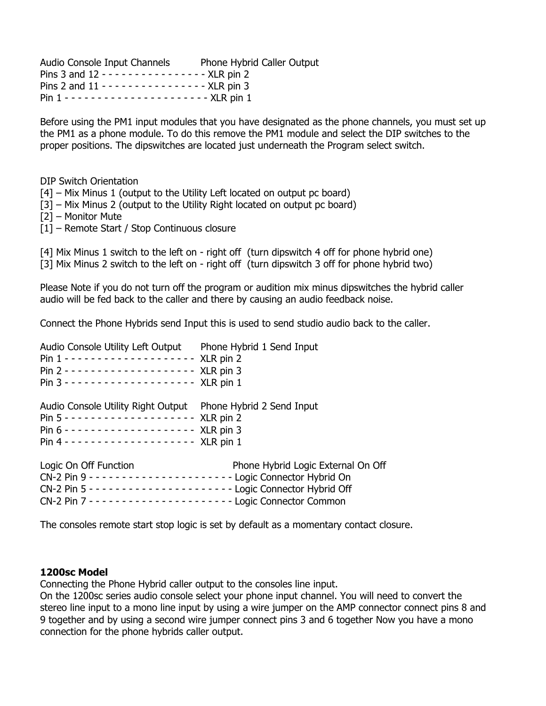Audio Console Input Channels Phone Hybrid Caller Output Pins 3 and 12 - - - - - - - - - - - - - - - - XLR pin 2 Pins 2 and 11 - - - - - - - - - - - - - - - - XLR pin 3 Pin 1 - - - - - - - - - - - - - - - - - - - - - - XLR pin 1

Before using the PM1 input modules that you have designated as the phone channels, you must set up the PM1 as a phone module. To do this remove the PM1 module and select the DIP switches to the proper positions. The dipswitches are located just underneath the Program select switch.

DIP Switch Orientation

[4] – Mix Minus 1 (output to the Utility Left located on output pc board)

- [3] Mix Minus 2 (output to the Utility Right located on output pc board)
- [2] Monitor Mute
- [1] Remote Start / Stop Continuous closure

[4] Mix Minus 1 switch to the left on - right off (turn dipswitch 4 off for phone hybrid one) [3] Mix Minus 2 switch to the left on - right off (turn dipswitch 3 off for phone hybrid two)

Please Note if you do not turn off the program or audition mix minus dipswitches the hybrid caller audio will be fed back to the caller and there by causing an audio feedback noise.

Connect the Phone Hybrids send Input this is used to send studio audio back to the caller.

| Audio Console Utility Left Output Phone Hybrid 1 Send Input  |                                    |
|--------------------------------------------------------------|------------------------------------|
| Audio Console Utility Right Output Phone Hybrid 2 Send Input |                                    |
| Logic On Off Function                                        | Phone Hybrid Logic External On Off |

The consoles remote start stop logic is set by default as a momentary contact closure.

## **1200sc Model**

Connecting the Phone Hybrid caller output to the consoles line input.

On the 1200sc series audio console select your phone input channel. You will need to convert the stereo line input to a mono line input by using a wire jumper on the AMP connector connect pins 8 and 9 together and by using a second wire jumper connect pins 3 and 6 together Now you have a mono connection for the phone hybrids caller output.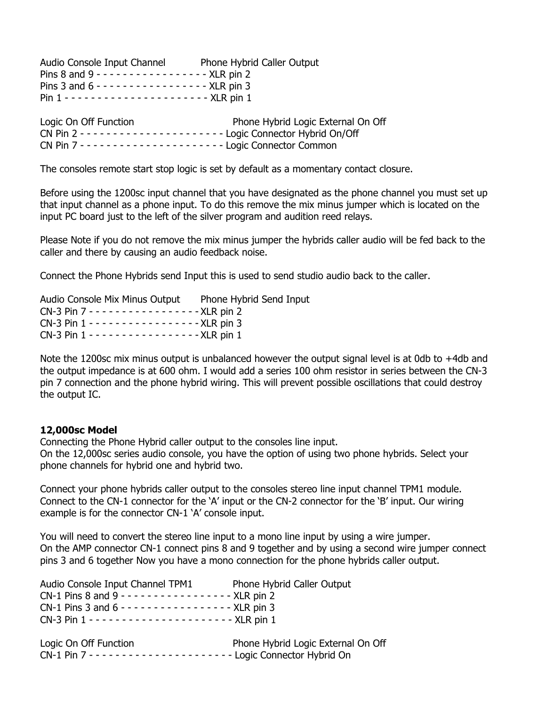| Audio Console Input Channel                              | Phone Hybrid Caller Output |
|----------------------------------------------------------|----------------------------|
| Pins 8 and 9 - - - - - - - - - - - - - - - - - XLR pin 2 |                            |
| Pins 3 and $6 - - - - - - - - - - - - -$ XLR pin 3       |                            |
|                                                          |                            |

| Logic On Off Function | Phone Hybrid Logic External On Off |
|-----------------------|------------------------------------|
|                       |                                    |
|                       |                                    |

The consoles remote start stop logic is set by default as a momentary contact closure.

Before using the 1200sc input channel that you have designated as the phone channel you must set up that input channel as a phone input. To do this remove the mix minus jumper which is located on the input PC board just to the left of the silver program and audition reed relays.

Please Note if you do not remove the mix minus jumper the hybrids caller audio will be fed back to the caller and there by causing an audio feedback noise.

Connect the Phone Hybrids send Input this is used to send studio audio back to the caller.

| Audio Console Mix Minus Output Phone Hybrid Send Input |  |
|--------------------------------------------------------|--|
| CN-3 Pin 7 - - - - - - - - - - - - - - - - XLR pin 2   |  |
| CN-3 Pin 1 - - - - - - - - - - - - - - - - XLR pin 3   |  |
| CN-3 Pin 1 - - - - - - - - - - - - - - - - XLR pin 1   |  |

Note the 1200sc mix minus output is unbalanced however the output signal level is at 0db to +4db and the output impedance is at 600 ohm. I would add a series 100 ohm resistor in series between the CN-3 pin 7 connection and the phone hybrid wiring. This will prevent possible oscillations that could destroy the output IC.

## **12,000sc Model**

Connecting the Phone Hybrid caller output to the consoles line input.

On the 12,000sc series audio console, you have the option of using two phone hybrids. Select your phone channels for hybrid one and hybrid two.

Connect your phone hybrids caller output to the consoles stereo line input channel TPM1 module. Connect to the CN-1 connector for the 'A' input or the CN-2 connector for the 'B' input. Our wiring example is for the connector CN-1 'A' console input.

You will need to convert the stereo line input to a mono line input by using a wire jumper. On the AMP connector CN-1 connect pins 8 and 9 together and by using a second wire jumper connect pins 3 and 6 together Now you have a mono connection for the phone hybrids caller output.

| Audio Console Input Channel TPM1                              | Phone Hybrid Caller Output |
|---------------------------------------------------------------|----------------------------|
| CN-1 Pins 8 and 9 - - - - - - - - - - - - - - - - - XLR pin 2 |                            |
| CN-1 Pins 3 and 6 - - - - - - - - - - - - - - - - - XLR pin 3 |                            |
|                                                               |                            |

| Logic On Off Function | Phone Hybrid Logic External On Off |
|-----------------------|------------------------------------|
|                       |                                    |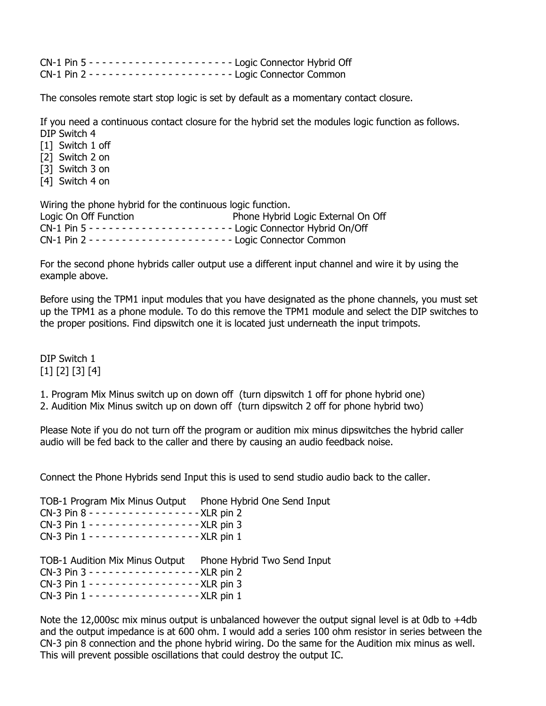The consoles remote start stop logic is set by default as a momentary contact closure.

If you need a continuous contact closure for the hybrid set the modules logic function as follows. DIP Switch 4

[1] Switch 1 off [2] Switch 2 on [3] Switch 3 on [4] Switch 4 on

Wiring the phone hybrid for the continuous logic function. Logic On Off Function **Phone Hybrid Logic External On Off** CN-1 Pin 5 - - - - - - - - - - - - - - - - - - - - - - Logic Connector Hybrid On/Off CN-1 Pin 2 - - - - - - - - - - - - - - - - - - - - - - Logic Connector Common

For the second phone hybrids caller output use a different input channel and wire it by using the example above.

Before using the TPM1 input modules that you have designated as the phone channels, you must set up the TPM1 as a phone module. To do this remove the TPM1 module and select the DIP switches to the proper positions. Find dipswitch one it is located just underneath the input trimpots.

DIP Switch 1 [1] [2] [3] [4]

1. Program Mix Minus switch up on down off (turn dipswitch 1 off for phone hybrid one)

2. Audition Mix Minus switch up on down off (turn dipswitch 2 off for phone hybrid two)

Please Note if you do not turn off the program or audition mix minus dipswitches the hybrid caller audio will be fed back to the caller and there by causing an audio feedback noise.

Connect the Phone Hybrids send Input this is used to send studio audio back to the caller.

TOB-1 Program Mix Minus Output Phone Hybrid One Send Input

| CN-3 Pin 8 - - - - - - - - - - - - - - - - XLR pin 2 |  |
|------------------------------------------------------|--|
| CN-3 Pin 1 - - - - - - - - - - - - - - - - XLR pin 3 |  |
| CN-3 Pin 1 - - - - - - - - - - - - - - - - XLR pin 1 |  |

TOB-1 Audition Mix Minus Output Phone Hybrid Two Send Input CN-3 Pin 3 - - - - - - - - - - - - - - - - - XLR pin 2 CN-3 Pin 1 - - - - - - - - - - - - - - - - - XLR pin 3 CN-3 Pin 1 - - - - - - - - - - - - - - - - - XLR pin 1

Note the 12,000sc mix minus output is unbalanced however the output signal level is at 0db to  $+4$ db and the output impedance is at 600 ohm. I would add a series 100 ohm resistor in series between the CN-3 pin 8 connection and the phone hybrid wiring. Do the same for the Audition mix minus as well. This will prevent possible oscillations that could destroy the output IC.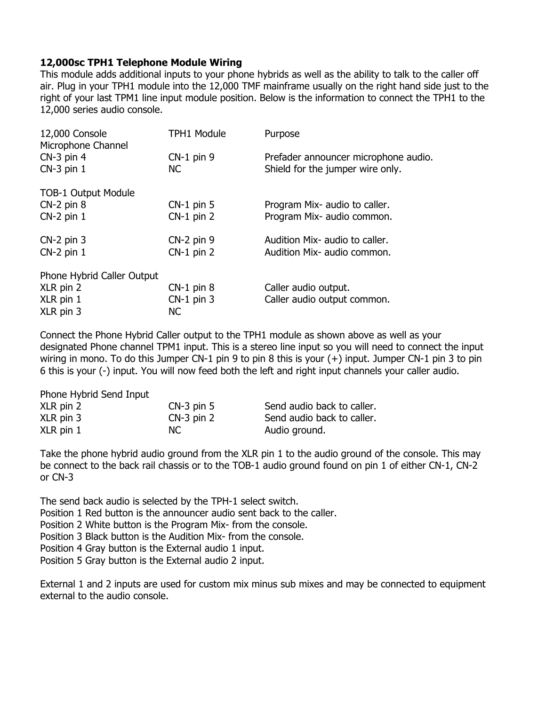# **12,000sc TPH1 Telephone Module Wiring**

This module adds additional inputs to your phone hybrids as well as the ability to talk to the caller off air. Plug in your TPH1 module into the 12,000 TMF mainframe usually on the right hand side just to the right of your last TPM1 line input module position. Below is the information to connect the TPH1 to the 12,000 series audio console.

| 12,000 Console<br>Microphone Channel | <b>TPH1 Module</b> | Purpose                              |
|--------------------------------------|--------------------|--------------------------------------|
| $CN-3$ pin 4                         | $CN-1$ pin 9       | Prefader announcer microphone audio. |
| $CN-3$ pin $1$                       | NC.                | Shield for the jumper wire only.     |
| <b>TOB-1 Output Module</b>           |                    |                                      |
| $CN-2$ pin $8$                       | $CN-1$ pin 5       | Program Mix- audio to caller.        |
| $CN-2$ pin $1$                       | $CN-1$ pin 2       | Program Mix- audio common.           |
| $CN-2$ pin 3                         | $CN-2$ pin 9       | Audition Mix- audio to caller.       |
| $CN-2$ pin $1$                       | $CN-1$ pin 2       | Audition Mix- audio common.          |
| Phone Hybrid Caller Output           |                    |                                      |
| XLR pin 2                            | $CN-1$ pin $8$     | Caller audio output.                 |
| XLR pin 1                            | $CN-1$ pin 3       | Caller audio output common.          |
| XLR pin 3                            | <b>NC</b>          |                                      |

Connect the Phone Hybrid Caller output to the TPH1 module as shown above as well as your designated Phone channel TPM1 input. This is a stereo line input so you will need to connect the input wiring in mono. To do this Jumper CN-1 pin 9 to pin 8 this is your (+) input. Jumper CN-1 pin 3 to pin 6 this is your (-) input. You will now feed both the left and right input channels your caller audio.

| Phone Hybrid Send Input |              |                            |
|-------------------------|--------------|----------------------------|
| XLR pin 2               | $CN-3$ pin 5 | Send audio back to caller. |
| $XLR$ pin 3             | $CN-3$ pin 2 | Send audio back to caller. |
| $XLR$ pin 1             | NC.          | Audio ground.              |

Take the phone hybrid audio ground from the XLR pin 1 to the audio ground of the console. This may be connect to the back rail chassis or to the TOB-1 audio ground found on pin 1 of either CN-1, CN-2 or CN-3

The send back audio is selected by the TPH-1 select switch. Position 1 Red button is the announcer audio sent back to the caller. Position 2 White button is the Program Mix- from the console. Position 3 Black button is the Audition Mix- from the console. Position 4 Gray button is the External audio 1 input.

Position 5 Gray button is the External audio 2 input.

External 1 and 2 inputs are used for custom mix minus sub mixes and may be connected to equipment external to the audio console.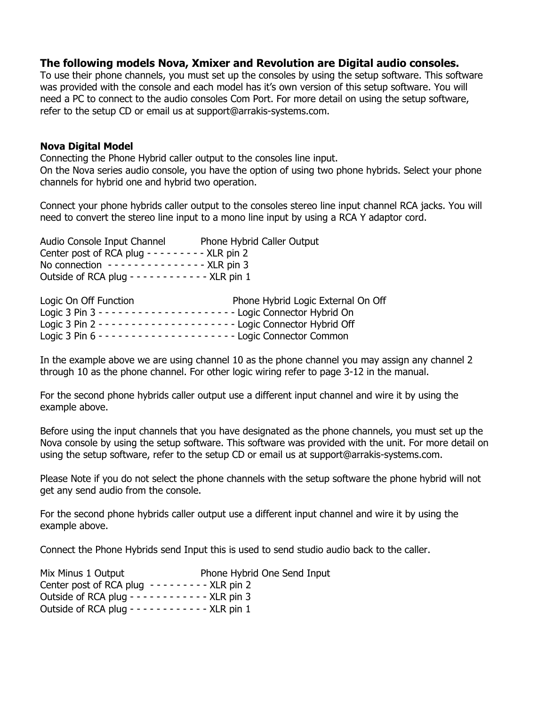## **The following models Nova, Xmixer and Revolution are Digital audio consoles.**

To use their phone channels, you must set up the consoles by using the setup software. This software was provided with the console and each model has it's own version of this setup software. You will need a PC to connect to the audio consoles Com Port. For more detail on using the setup software, refer to the setup CD or email us at support@arrakis-systems.com.

## **Nova Digital Model**

Connecting the Phone Hybrid caller output to the consoles line input. On the Nova series audio console, you have the option of using two phone hybrids. Select your phone channels for hybrid one and hybrid two operation.

Connect your phone hybrids caller output to the consoles stereo line input channel RCA jacks. You will need to convert the stereo line input to a mono line input by using a RCA Y adaptor cord.

Audio Console Input Channel Phone Hybrid Caller Output Center post of RCA plug - - - - - - - - - XLR pin 2 No connection  $- - - - - - - - - - -$  - XLR pin 3 Outside of RCA plug - - - - - - - - - - - XLR pin 1

| Logic On Off Function | Phone Hybrid Logic External On Off |
|-----------------------|------------------------------------|
|                       |                                    |
|                       |                                    |
|                       |                                    |

In the example above we are using channel 10 as the phone channel you may assign any channel 2 through 10 as the phone channel. For other logic wiring refer to page 3-12 in the manual.

For the second phone hybrids caller output use a different input channel and wire it by using the example above.

Before using the input channels that you have designated as the phone channels, you must set up the Nova console by using the setup software. This software was provided with the unit. For more detail on using the setup software, refer to the setup CD or email us at support@arrakis-systems.com.

Please Note if you do not select the phone channels with the setup software the phone hybrid will not get any send audio from the console.

For the second phone hybrids caller output use a different input channel and wire it by using the example above.

Connect the Phone Hybrids send Input this is used to send studio audio back to the caller.

| Mix Minus 1 Output                                    | Phone Hybrid One Send Input |
|-------------------------------------------------------|-----------------------------|
| Center post of RCA plug $- - - - - - -$ XLR pin 2     |                             |
| Outside of RCA plug - - - - - - - - - - - - XLR pin 3 |                             |
| Outside of RCA plug - - - - - - - - - - - - XLR pin 1 |                             |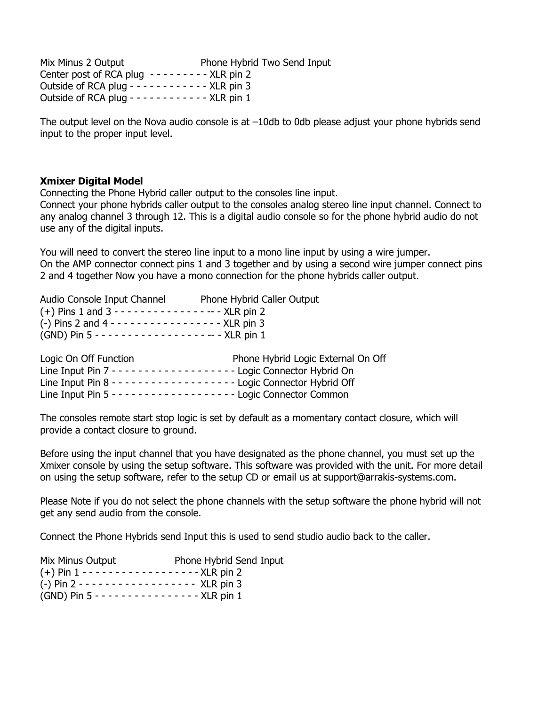Mix Minus 2 Output Phone Hybrid Two Send Input Center post of RCA plug  $- - - - - - -$  XLR pin 2 Outside of RCA plug - - - - - - - - - - - - XLR pin 3 Outside of RCA plug - - - - - - - - - - - XLR pin  $1$ 

The output level on the Nova audio console is at –10db to 0db please adjust your phone hybrids send input to the proper input level.

#### **Xmixer Digital Model**

Connecting the Phone Hybrid caller output to the consoles line input.

Connect your phone hybrids caller output to the consoles analog stereo line input channel. Connect to any analog channel 3 through 12. This is a digital audio console so for the phone hybrid audio do not use any of the digital inputs.

You will need to convert the stereo line input to a mono line input by using a wire jumper. On the AMP connector connect pins 1 and 3 together and by using a second wire jumper connect pins 2 and 4 together Now you have a mono connection for the phone hybrids caller output.

| Audio Console Input Channel                                  | Phone Hybrid Caller Output                                                   |
|--------------------------------------------------------------|------------------------------------------------------------------------------|
| $(+)$ Pins 1 and 3 - - - - - - - - - - - - - - - - XLR pin 2 |                                                                              |
| (-) Pins 2 and 4 - - - - - - - - - - - - - - - - XLR pin 3   |                                                                              |
|                                                              |                                                                              |
|                                                              |                                                                              |
| Logic On Off Function                                        | Phone Hybrid Logic External On Off                                           |
|                                                              | Line Input Pin 7 - - - - - - - - - - - - - - - - - Logic Connector Hybrid On |
|                                                              |                                                                              |
|                                                              | Line Input Pin 5 - - - - - - - - - - - - - - - - - Logic Connector Common    |

The consoles remote start stop logic is set by default as a momentary contact closure, which will provide a contact closure to ground.

Before using the input channel that you have designated as the phone channel, you must set up the Xmixer console by using the setup software. This software was provided with the unit. For more detail on using the setup software, refer to the setup CD or email us at support@arrakis-systems.com.

Please Note if you do not select the phone channels with the setup software the phone hybrid will not get any send audio from the console.

Connect the Phone Hybrids send Input this is used to send studio audio back to the caller.

| Mix Minus Output                                        | Phone Hybrid Send Input |
|---------------------------------------------------------|-------------------------|
| $(+)$ Pin 1 - - - - - - - - - - - - - - - - - XLR pin 2 |                         |
| $(-)$ Pin 2 - - - - - - - - - - - - - - - - - XLR pin 3 |                         |
| (GND) Pin 5 - - - - - - - - - - - - - - - XLR pin 1     |                         |